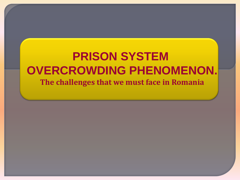## **PRISON SYSTEM OVERCROWDING PHENOMENON. The challenges that we must face in Romania**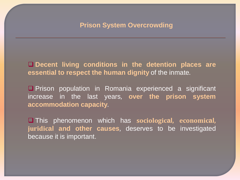**Decent living conditions in the detention places are essential to respect the human dignity** of the inmate.

**O** Prison population in Romania experienced a significant increase in the last years, **over the prison system accommodation capacity**.

 This phenomenon which has **sociological, economical, juridical and other causes**, deserves to be investigated because it is important.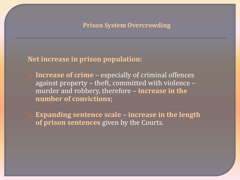#### **Net increase in prison population:**

- **Increase of crime** especially of criminal offences against property – theft, committed with violence – murder and robbery, therefore – **increase in the number of convictions**;
- **Expanding sentence scale increase in the length of prison sentences** given by the Courts.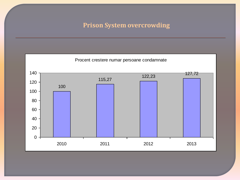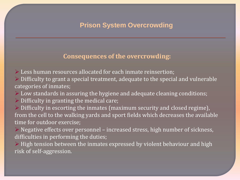#### **Consequences of the overcrowding:**

Less human resources allocated for each inmate reinsertion;

 $\triangleright$  Difficulty to grant a special treatment, adequate to the special and vulnerable categories of inmates;

Low standards in assuring the hygiene and adequate cleaning conditions;

 $\triangleright$  Difficulty in granting the medical care;

 $\triangleright$  Difficulty in escorting the inmates (maximum security and closed regime), from the cell to the walking yards and sport fields which decreases the available time for outdoor exercise;

 Negative effects over personnel – increased stress, high number of sickness, difficulties in performing the duties;

 $\triangleright$  High tension between the inmates expressed by violent behaviour and high risk of self-aggression.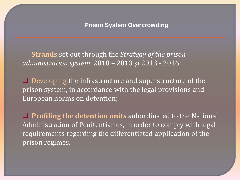**Strands** set out through the *Strategy of the prison administration system*, 2010 – 2013 şi 2013 - 2016:

 $\Box$  Developing the infrastructure and superstructure of the prison system, in accordance with the legal provisions and European norms on detention;

**Profiling the detention units** subordinated to the National Administration of Penitentiaries, in order to comply with legal requirements regarding the differentiated application of the prison regimes.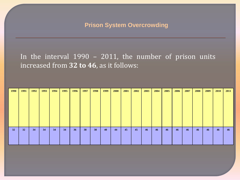In the interval 1990 – 2011, the number of prison units increased from **32 to 46**, as it follows:

| 1990 | 1991 | 1992 | 1993 | 1994 | 1995 | 1996            | 1997 | 1998 | 1999 | <b>2000</b> | 2001 | 2002 | 2003 | 2004 | 2005 | 2006 | 2007 | 2008 | 2009 | <b>2010</b> | 2011 |
|------|------|------|------|------|------|-----------------|------|------|------|-------------|------|------|------|------|------|------|------|------|------|-------------|------|
|      |      |      |      |      |      |                 |      |      |      |             |      |      |      |      |      |      |      |      |      |             |      |
|      |      |      |      |      |      |                 |      |      |      |             |      |      |      |      |      |      |      |      |      |             |      |
|      |      |      |      |      |      |                 |      |      |      |             |      |      |      |      |      |      |      |      |      |             |      |
|      |      |      |      |      |      |                 |      |      |      |             |      |      |      |      |      |      |      |      |      |             |      |
|      |      |      |      |      |      |                 |      |      |      |             |      |      |      |      |      |      |      |      |      |             |      |
|      |      |      |      |      |      |                 |      |      |      |             |      |      |      |      |      |      |      |      |      |             |      |
|      |      |      |      |      |      |                 |      |      |      |             |      |      |      |      |      |      |      |      |      |             |      |
|      |      |      |      |      |      |                 |      |      |      |             |      |      |      |      |      |      |      |      |      |             |      |
| 32   | 32   | 34   | 34   | 34   | 34   | 36 <sup>°</sup> | 38   | 38   | 40   | 44          | 45   | 45   | 46   | 46   | 46   | 46   | 46   | 46   | 46   | 46          | 46   |
|      |      |      |      |      |      |                 |      |      |      |             |      |      |      |      |      |      |      |      |      |             |      |
|      |      |      |      |      |      |                 |      |      |      |             |      |      |      |      |      |      |      |      |      |             |      |
|      |      |      |      |      |      |                 |      |      |      |             |      |      |      |      |      |      |      |      |      |             |      |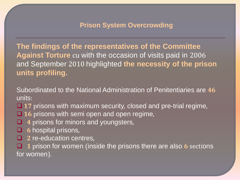**The findings of the representatives of the Committee Against Torture** cu with the occasion of visits paid in 2006 and September 2010 highlighted **the necessity of the prison units profiling.**

Subordinated to the National Administration of Penitentiaries are **46** units:

**17** prisons with maximum security, closed and pre-trial regime,

- **□ 16** prisons with semi open and open regime,
- **4** prisons for minors and youngsters,
- **6** hospital prisons,
- **2** re-education centres,

 **1** prison for women (inside the prisons there are also **6** sections for women).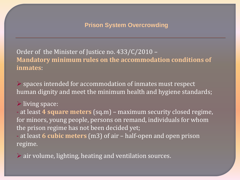Order of the Minister of Justice no. 433/C/2010 – **Mandatory minimum rules on the accommodation conditions of inmates**:

 $\triangleright$  spaces intended for accommodation of inmates must respect human dignity and meet the minimum health and hygiene standards;

#### living space:

- at least **4 square meters** (sq.m) – maximum security closed regime, for minors, young people, persons on remand, individuals for whom the prison regime has not been decided yet;

- at least **6 cubic meters** (m3) of air – half-open and open prison regime.

air volume, lighting, heating and ventilation sources.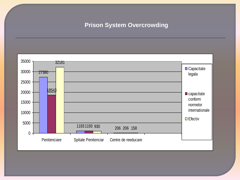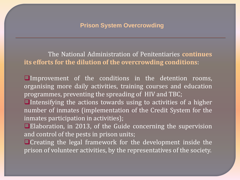The National Administration of Penitentiaries **continues its efforts for the dilution of the overcrowding conditions**:

Improvement of the conditions in the detention rooms, organising more daily activities, training courses and education programmes, preventing the spreading of HIV and TBC;

 $\Box$ Intensifying the actions towards using to activities of a higher number of inmates (implementation of the Credit System for the inmates participation in activities);

**Elaboration, in 2013, of the Guide concerning the supervision** and control of the pests in prison units;

**O** Creating the legal framework for the development inside the prison of volunteer activities, by the representatives of the society.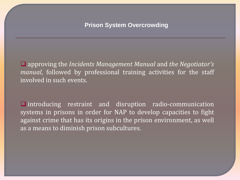approving the *Incidents Management Manual* and *the Negotiator's manual*, followed by professional training activities for the staff involved in such events.

 $\Box$  introducing restraint and disruption radio-communication systems in prisons in order for NAP to develop capacities to fight against crime that has its origins in the prison environment, as well as a means to diminish prison subcultures.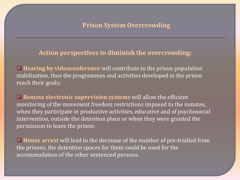#### **Action perspectives to diminish the overcrowding:**

 **Hearing by videoconference** will contribute to the prison population stabilisation, thus the programmes and activities developed in the prison reach their goals;

■ **Remote electronic supervision systems** will allow the efficient monitoring of the movement freedom restrictions imposed to the inmates, when they participate in productive activities, educative and of psychosocial intervention, outside the detention place or when they were granted the permission to leave the prison;

 **House arrest** will lead to the decrease of the number of pre-trialled from the prisons, the detention spaces for them could be used for the accommodation of the other sentenced persons.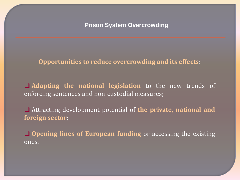#### **Opportunities to reduce overcrowding and its effects**:

 **Adapting the national legislation** to the new trends of enforcing sentences and non-custodial measures;

 Attracting development potential of **the private, national and foreign sector**;

 **Opening lines of European funding** or accessing the existing ones.